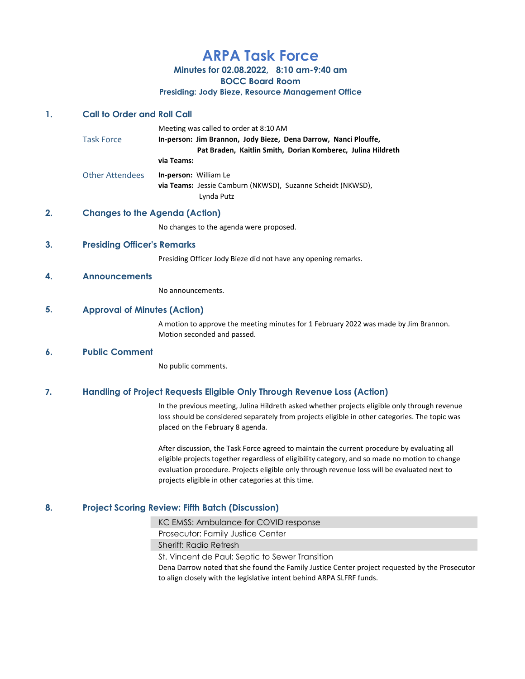# ARPA Task Force

Minutes for 02.08.2022, 8:10 am-9:40 am

BOCC Board Room

### Presiding: Jody Bieze, Resource Management Office

## 1. Call to Order and Roll Call

Meeting was called to order at 8:10 AM

Task Force **In-person: Jim Brannon, Jody Bieze, Dena Darrow, Nanci Plouffe,**  Pat Braden, Kaitlin Smith, Dorian Komberec, Julina Hildreth via Teams: Other Attendees In-person: William Le via Teams: Jessie Camburn (NKWSD), Suzanne Scheidt (NKWSD), Lynda Putz

## 2. Changes to the Agenda (Action)

No changes to the agenda were proposed.

## 3. Presiding Officer's Remarks

Presiding Officer Jody Bieze did not have any opening remarks.

#### 4. Announcements

No announcements.

## 5. Approval of Minutes (Action)

A motion to approve the meeting minutes for 1 February 2022 was made by Jim Brannon. Motion seconded and passed.

#### 6. Public Comment

No public comments.

## 7. Handling of Project Requests Eligible Only Through Revenue Loss (Action)

In the previous meeting, Julina Hildreth asked whether projects eligible only through revenue loss should be considered separately from projects eligible in other categories. The topic was placed on the February 8 agenda.

After discussion, the Task Force agreed to maintain the current procedure by evaluating all eligible projects together regardless of eligibility category, and so made no motion to change evaluation procedure. Projects eligible only through revenue loss will be evaluated next to projects eligible in other categories at this time.

## 8. Project Scoring Review: Fifth Batch (Discussion)

KC EMSS: Ambulance for COVID response

Prosecutor: Family Justice Center

Sheriff: Radio Refresh

St. Vincent de Paul: Septic to Sewer Transition

Dena Darrow noted that she found the Family Justice Center project requested by the Prosecutor to align closely with the legislative intent behind ARPA SLFRF funds.